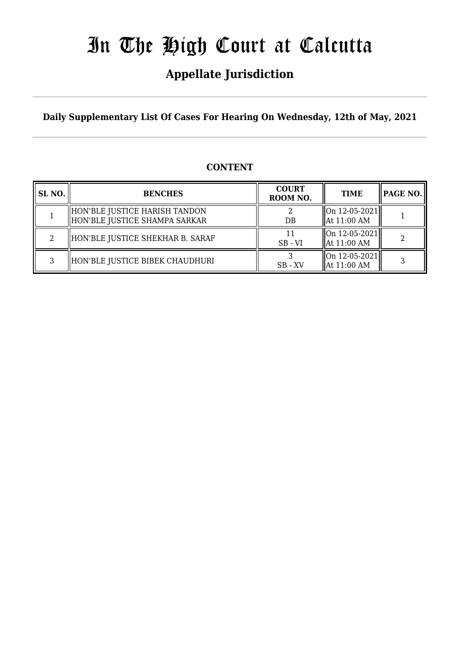## **Appellate Jurisdiction**

**Daily Supplementary List Of Cases For Hearing On Wednesday, 12th of May, 2021**

### **CONTENT**

| SL NO. | <b>BENCHES</b>                                                   | <b>COURT</b><br>ROOM NO. | <b>TIME</b>                               | <b>PAGE NO.</b> |
|--------|------------------------------------------------------------------|--------------------------|-------------------------------------------|-----------------|
|        | HON'BLE JUSTICE HARISH TANDON<br>  HON'BLE JUSTICE SHAMPA SARKAR | $DB$                     | On 12-05-2021 <br>$\parallel$ At 11:00 AM |                 |
|        | HON'BLE JUSTICE SHEKHAR B. SARAF                                 | $SB - VI$                | On 12-05-2021 <br>$\parallel$ At 11:00 AM |                 |
| 3      | HON'BLE JUSTICE BIBEK CHAUDHURI                                  | $SB - XV$                | On 12-05-2021 <br>$\parallel$ At 11:00 AM |                 |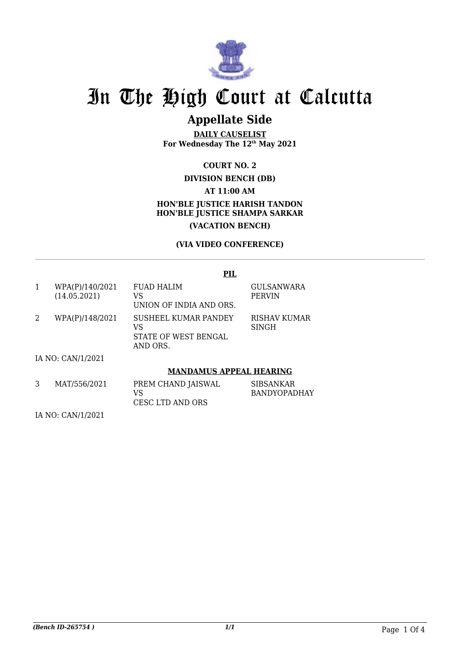

### **Appellate Side**

**DAILY CAUSELIST For Wednesday The 12th May 2021**

### **COURT NO. 2**

### **DIVISION BENCH (DB)**

**AT 11:00 AM**

### **HON'BLE JUSTICE HARISH TANDON HON'BLE JUSTICE SHAMPA SARKAR (VACATION BENCH)**

### **(VIA VIDEO CONFERENCE)**

|   |                                 | <b>PIL</b>                                                     |                              |  |
|---|---------------------------------|----------------------------------------------------------------|------------------------------|--|
| 1 | WPA(P)/140/2021<br>(14.05.2021) | <b>FUAD HALIM</b><br>VS<br>UNION OF INDIA AND ORS.             | GULSANWARA<br><b>PERVIN</b>  |  |
| 2 | WPA(P)/148/2021                 | SUSHEEL KUMAR PANDEY<br>VS<br>STATE OF WEST BENGAL<br>AND ORS. | RISHAV KUMAR<br><b>SINGH</b> |  |
|   | IA NO: CAN/1/2021               |                                                                |                              |  |
|   | <b>MANDAMUS APPEAL HEARING</b>  |                                                                |                              |  |
| 3 | MAT/556/2021                    | PREM CHAND JAISWAL                                             | <b>SIBSANKAR</b>             |  |

| 1411133014041 | <b>FILLIVE CHAIND JAIOWAL</b> | <b>JIDJAIVNAIV</b>  |
|---------------|-------------------------------|---------------------|
|               | VS                            | <b>BANDYOPADHAY</b> |
|               | CESC LTD AND ORS              |                     |

IA NO: CAN/1/2021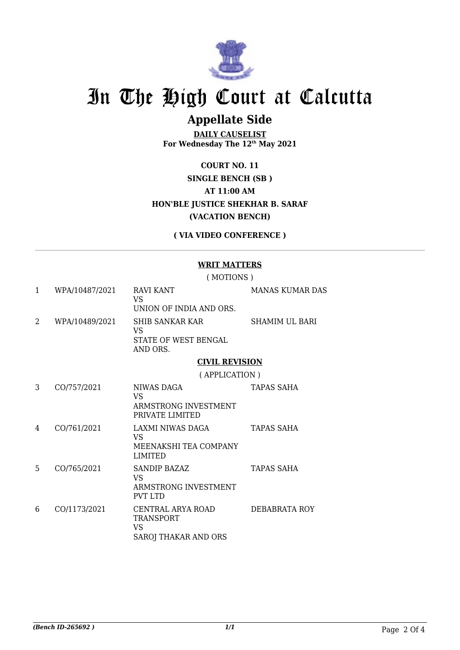

### **Appellate Side**

**DAILY CAUSELIST For Wednesday The 12th May 2021**

**COURT NO. 11 SINGLE BENCH (SB ) AT 11:00 AM HON'BLE JUSTICE SHEKHAR B. SARAF (VACATION BENCH)**

**( VIA VIDEO CONFERENCE )**

#### **WRIT MATTERS**

( MOTIONS )

| 1 | WPA/10487/2021 | RAVI KANT<br><b>VS</b><br>UNION OF INDIA AND ORS.                                 | <b>MANAS KUMAR DAS</b> |
|---|----------------|-----------------------------------------------------------------------------------|------------------------|
| 2 | WPA/10489/2021 | <b>SHIB SANKAR KAR</b><br>VS<br>STATE OF WEST BENGAL<br>AND ORS.                  | <b>SHAMIM UL BARI</b>  |
|   |                | <b>CIVIL REVISION</b>                                                             |                        |
|   |                | (APPLICATION)                                                                     |                        |
| 3 | CO/757/2021    | NIWAS DAGA<br><b>VS</b><br>ARMSTRONG INVESTMENT<br>PRIVATE LIMITED                | TAPAS SAHA             |
| 4 | CO/761/2021    | LAXMI NIWAS DAGA<br>VS<br>MEENAKSHI TEA COMPANY<br>LIMITED                        | TAPAS SAHA             |
| 5 | CO/765/2021    | SANDIP BAZAZ<br><b>VS</b><br>ARMSTRONG INVESTMENT<br><b>PVT LTD</b>               | <b>TAPAS SAHA</b>      |
| 6 | CO/1173/2021   | CENTRAL ARYA ROAD<br><b>TRANSPORT</b><br><b>VS</b><br><b>SAROJ THAKAR AND ORS</b> | DEBABRATA ROY          |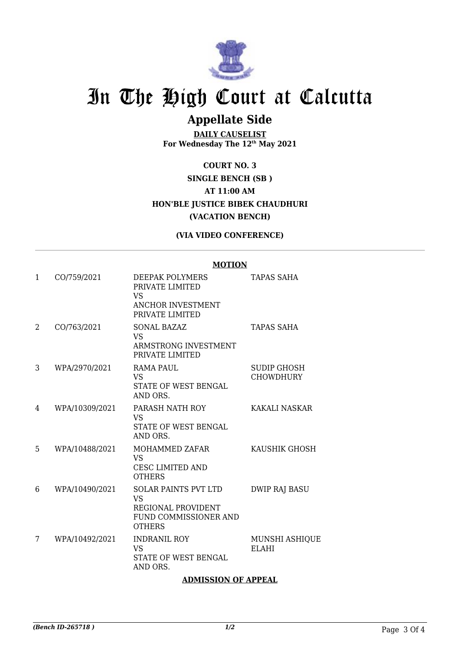

### **Appellate Side**

**DAILY CAUSELIST For Wednesday The 12th May 2021**

**COURT NO. 3 SINGLE BENCH (SB ) AT 11:00 AM HON'BLE JUSTICE BIBEK CHAUDHURI (VACATION BENCH)**

**(VIA VIDEO CONFERENCE)**

#### **MOTION**

| 1 | CO/759/2021    | DEEPAK POLYMERS<br>PRIVATE LIMITED<br>VS<br>ANCHOR INVESTMENT<br>PRIVATE LIMITED                   | TAPAS SAHA                            |
|---|----------------|----------------------------------------------------------------------------------------------------|---------------------------------------|
| 2 | CO/763/2021    | <b>SONAL BAZAZ</b><br><b>VS</b><br>ARMSTRONG INVESTMENT<br>PRIVATE LIMITED                         | TAPAS SAHA                            |
| 3 | WPA/2970/2021  | RAMA PAUL<br><b>VS</b><br>STATE OF WEST BENGAL<br>AND ORS.                                         | SUDIP GHOSH<br><b>CHOWDHURY</b>       |
| 4 | WPA/10309/2021 | PARASH NATH ROY<br><b>VS</b><br><b>STATE OF WEST BENGAL</b><br>AND ORS.                            | KAKALI NASKAR                         |
| 5 | WPA/10488/2021 | MOHAMMED ZAFAR<br><b>VS</b><br><b>CESC LIMITED AND</b><br><b>OTHERS</b>                            | KAUSHIK GHOSH                         |
| 6 | WPA/10490/2021 | <b>SOLAR PAINTS PVT LTD</b><br>VS.<br>REGIONAL PROVIDENT<br>FUND COMMISSIONER AND<br><b>OTHERS</b> | <b>DWIP RAJ BASU</b>                  |
| 7 | WPA/10492/2021 | <b>INDRANIL ROY</b><br><b>VS</b><br>STATE OF WEST BENGAL<br>AND ORS.                               | <b>MUNSHI ASHIQUE</b><br><b>ELAHI</b> |

### **ADMISSION OF APPEAL**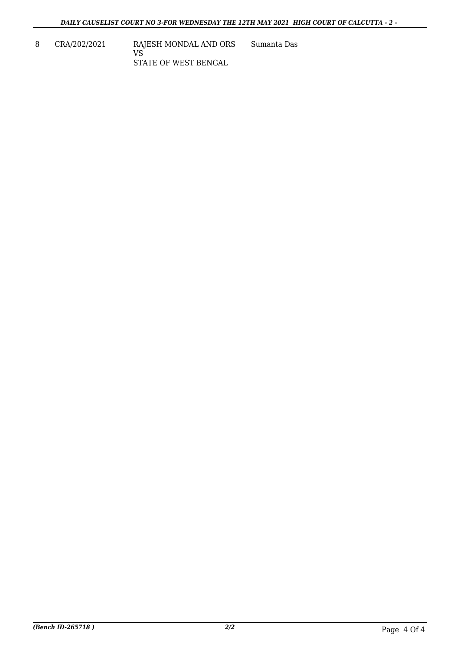8 CRA/202/2021 RAJESH MONDAL AND ORS VS STATE OF WEST BENGAL Sumanta Das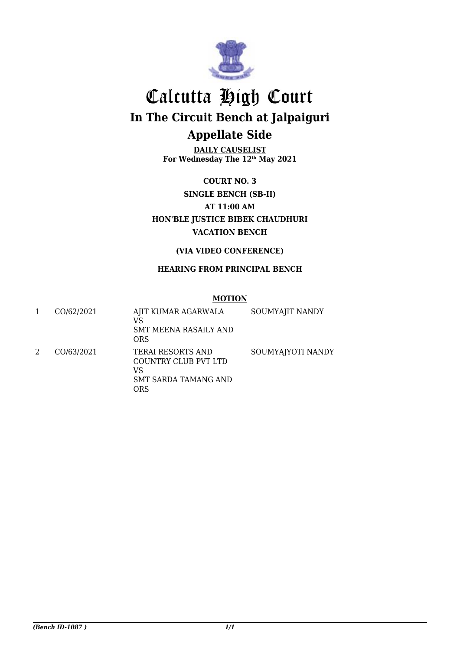

## Calcutta High Court **In The Circuit Bench at Jalpaiguri Appellate Side**

**DAILY CAUSELIST For Wednesday The 12th May 2021**

**COURT NO. 3 SINGLE BENCH (SB-II) AT 11:00 AM HON'BLE JUSTICE BIBEK CHAUDHURI VACATION BENCH**

**(VIA VIDEO CONFERENCE)**

### **HEARING FROM PRINCIPAL BENCH**

#### **MOTION**

| CO/62/2021 | AJIT KUMAR AGARWALA<br>VS<br><b>SMT MEENA RASAILY AND</b><br>ORS                      | SOUMYAJIT NANDY   |
|------------|---------------------------------------------------------------------------------------|-------------------|
| CO/63/2021 | <b>TERAI RESORTS AND</b><br>COUNTRY CLUB PVT LTD<br>VS<br>SMT SARDA TAMANG AND<br>ORS | SOUMYAJYOTI NANDY |